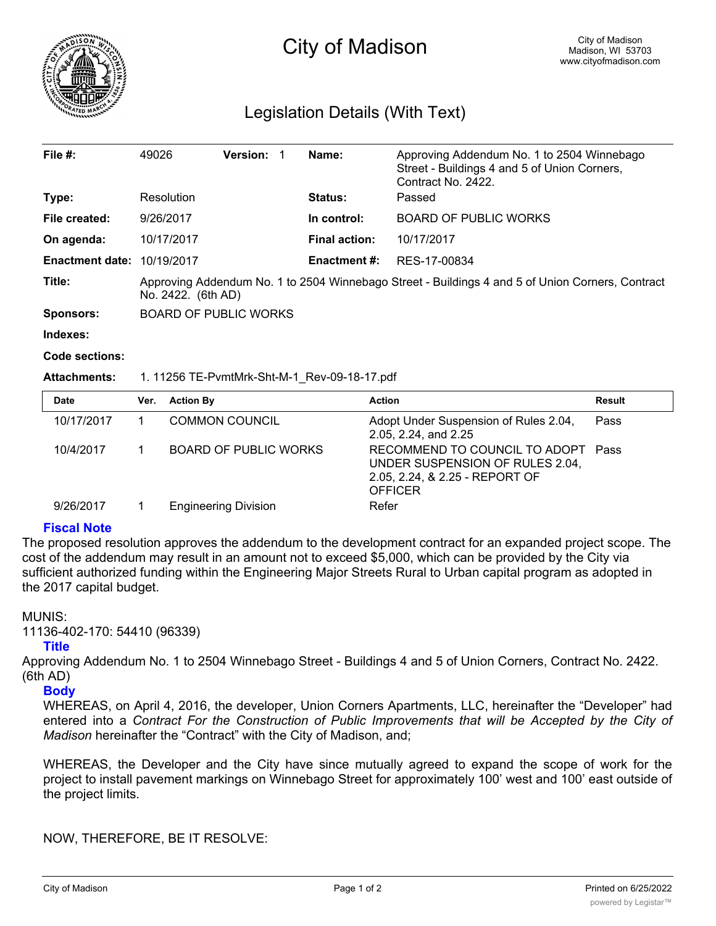

# Legislation Details (With Text)

| File $#$ :             | 49026                                                                                                                  | <b>Version:</b> |  | Name:                | Approving Addendum No. 1 to 2504 Winnebago<br>Street - Buildings 4 and 5 of Union Corners,<br>Contract No. 2422. |  |
|------------------------|------------------------------------------------------------------------------------------------------------------------|-----------------|--|----------------------|------------------------------------------------------------------------------------------------------------------|--|
| Type:                  | Resolution                                                                                                             |                 |  | <b>Status:</b>       | Passed                                                                                                           |  |
| File created:          | 9/26/2017                                                                                                              |                 |  | In control:          | <b>BOARD OF PUBLIC WORKS</b>                                                                                     |  |
| On agenda:             | 10/17/2017                                                                                                             |                 |  | <b>Final action:</b> | 10/17/2017                                                                                                       |  |
| <b>Enactment date:</b> | 10/19/2017                                                                                                             |                 |  | <b>Enactment #:</b>  | RES-17-00834                                                                                                     |  |
| Title:                 | Approving Addendum No. 1 to 2504 Winnebago Street - Buildings 4 and 5 of Union Corners, Contract<br>No. 2422. (6th AD) |                 |  |                      |                                                                                                                  |  |
| <b>Sponsors:</b>       | BOARD OF PUBLIC WORKS                                                                                                  |                 |  |                      |                                                                                                                  |  |
| Indexes:               |                                                                                                                        |                 |  |                      |                                                                                                                  |  |

**Code sections:**

#### **Attachments:** 1. 11256 TE-PvmtMrk-Sht-M-1\_Rev-09-18-17.pdf

| <b>Date</b> | Ver. | <b>Action By</b>             | <b>Action</b>                                                                                                             | Result |
|-------------|------|------------------------------|---------------------------------------------------------------------------------------------------------------------------|--------|
| 10/17/2017  |      | <b>COMMON COUNCIL</b>        | Adopt Under Suspension of Rules 2.04,<br>2.05, 2.24, and 2.25                                                             | Pass   |
| 10/4/2017   |      | <b>BOARD OF PUBLIC WORKS</b> | RECOMMEND TO COUNCIL TO ADOPT Pass<br>UNDER SUSPENSION OF RULES 2.04,<br>2.05, 2.24, & 2.25 - REPORT OF<br><b>OFFICER</b> |        |
| 9/26/2017   |      | <b>Engineering Division</b>  | Refer                                                                                                                     |        |

### **Fiscal Note**

The proposed resolution approves the addendum to the development contract for an expanded project scope. The cost of the addendum may result in an amount not to exceed \$5,000, which can be provided by the City via sufficient authorized funding within the Engineering Major Streets Rural to Urban capital program as adopted in the 2017 capital budget.

#### MUNIS:

11136-402-170: 54410 (96339)

#### **Title**

Approving Addendum No. 1 to 2504 Winnebago Street - Buildings 4 and 5 of Union Corners, Contract No. 2422. (6th AD)

## **Body**

WHEREAS, on April 4, 2016, the developer, Union Corners Apartments, LLC, hereinafter the "Developer" had entered into a *Contract For the Construction of Public Improvements that will be Accepted by the City of Madison* hereinafter the "Contract" with the City of Madison, and;

WHEREAS, the Developer and the City have since mutually agreed to expand the scope of work for the project to install pavement markings on Winnebago Street for approximately 100' west and 100' east outside of the project limits.

NOW, THEREFORE, BE IT RESOLVE: